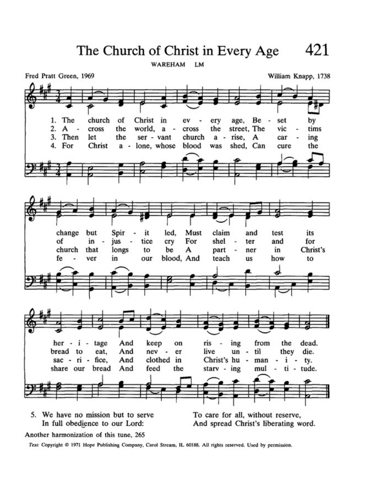The Church of Christ in Every Age

WAREHAM LM

Fred Pratt Green, 1969 William Knapp, 1738 church The Christ in 1. of ev ery age, Be set by 2. cross the world, a the street, The vic tims A cross  $\overline{\phantom{a}}$ 3. Then let a - rise, the ser - vant church  $\mathbf{A}$ car ing 4. For Christ a - lone, whose blood was shed, Can cure the change but Spir it led, Must claim and test its of in tice For shel ter and for jus cry church that longs be А in Christ's to part ner blood, And fe ver in our teach how to us And  $her - i - tage$ keep ris ing from the dead. on  $\overline{a}$ bread to eat, And nev  $\overline{\phantom{a}}$ er live un til they die.  $\overline{\phantom{a}}$ clothed in sac -  $ri$  - fice, And Christ's hu  $i$ man ty.  $\blacksquare$ share our bread And feed the stary - ing mul ti - tude. 5. We have no mission but to serve

In full obedience to our Lord:

Another harmonization of this tune, 265

Text: Copyright @ 1971 Hope Publishing Company, Carol Stream, IL 60188. All rights reserved. Used by permission.

To care for all, without reserve, And spread Christ's liberating word.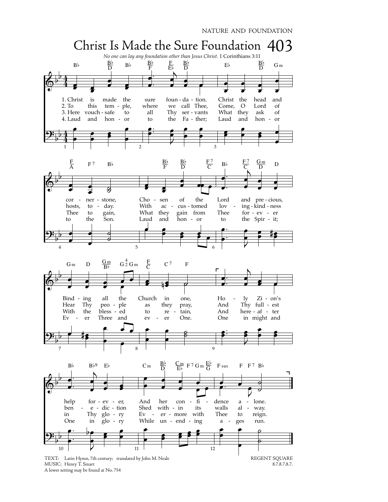



TEXT: Latin Hymn, 7th century; translated by John M. Neale REGENT SQUARE 8.7.8.7.8.7. MUSIC: Henry T. Smart A lower setting may be found at No. 754